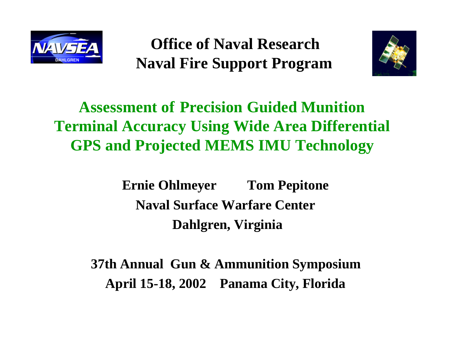

 **Office of Naval Research Naval Fire Support Program**



## **Assessment of Precision Guided Munition Terminal Accuracy Using Wide Area Differential GPS and Projected MEMS IMU Technology**

**Ernie Ohlmeyer Tom Pepitone Naval Surface Warfare Center Dahlgren, Virginia**

**37th Annual Gun & Ammunition Symposium April 15-18, 2002 Panama City, Florida**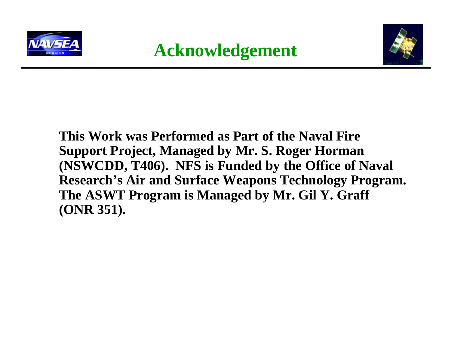



### **This Work was Performed as Part of the Naval Fire Support Project, Managed by Mr. S. Roger Horman (NSWCDD, T406). NFS is Funded by the Office of Naval Research's Air and Surface Weapons Technology Program. The ASWT Program is Managed by Mr. Gil Y. Graff (ONR 351).**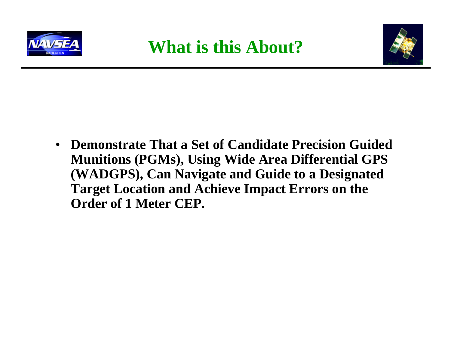



• **Demonstrate That a Set of Candidate Precision Guided Munitions (PGMs), Using Wide Area Differential GPS (WADGPS), Can Navigate and Guide to a Designated Target Location and Achieve Impact Errors on the Order of 1 Meter CEP.**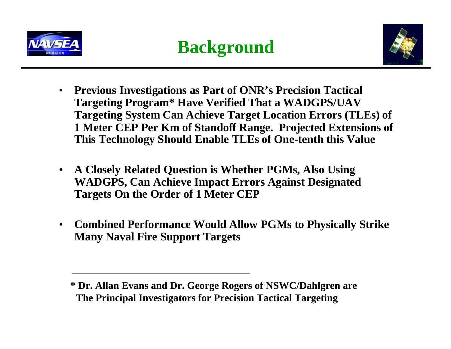



- **Previous Investigations as Part of ONR's Precision Tactical Targeting Program\* Have Verified That a WADGPS/UAV Targeting System Can Achieve Target Location Errors (TLEs) of 1 Meter CEP Per Km of Standoff Range. Projected Extensions of This Technology Should Enable TLEs of One-tenth this Value**
- **A Closely Related Question is Whether PGMs, Also Using WADGPS, Can Achieve Impact Errors Against Designated Targets On the Order of 1 Meter CEP**
- **Combined Performance Would Allow PGMs to Physically Strike Many Naval Fire Support Targets**

**<sup>\*</sup> Dr. Allan Evans and Dr. George Rogers of NSWC/Dahlgren are The Principal Investigators for Precision Tactical Targeting**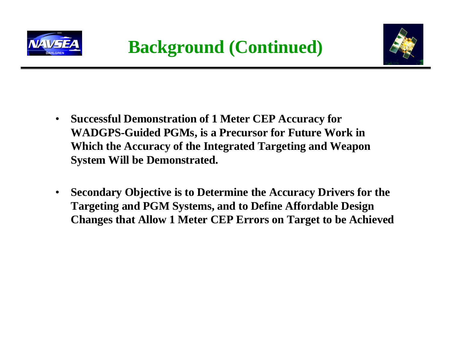



- **Successful Demonstration of 1 Meter CEP Accuracy for WADGPS-Guided PGMs, is a Precursor for Future Work in Which the Accuracy of the Integrated Targeting and Weapon System Will be Demonstrated.**
- **Secondary Objective is to Determine the Accuracy Drivers for the Targeting and PGM Systems, and to Define Affordable Design Changes that Allow 1 Meter CEP Errors on Target to be Achieved**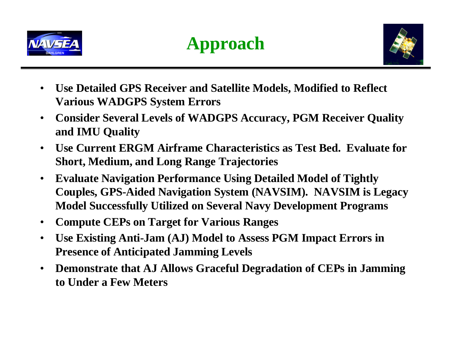



- **Use Detailed GPS Receiver and Satellite Models, Modified to Reflect Various WADGPS System Errors**
- **Consider Several Levels of WADGPS Accuracy, PGM Receiver Quality and IMU Quality**
- **Use Current ERGM Airframe Characteristics as Test Bed. Evaluate for Short, Medium, and Long Range Trajectories**
- **Evaluate Navigation Performance Using Detailed Model of Tightly Couples, GPS-Aided Navigation System (NAVSIM). NAVSIM is Legacy Model Successfully Utilized on Several Navy Development Programs**
- **Compute CEPs on Target for Various Ranges**
- **Use Existing Anti-Jam (AJ) Model to Assess PGM Impact Errors in Presence of Anticipated Jamming Levels**
- **Demonstrate that AJ Allows Graceful Degradation of CEPs in Jamming to Under a Few Meters**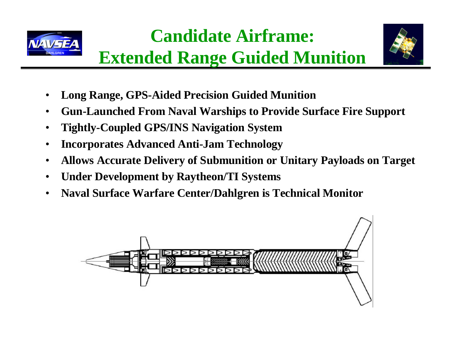



- **Extended Range Guided Munition**
- **Long Range, GPS-Aided Precision Guided Munition**
- **Gun-Launched From Naval Warships to Provide Surface Fire Support**
- **Tightly-Coupled GPS/INS Navigation System**
- **Incorporates Advanced Anti-Jam Technology**
- **Allows Accurate Delivery of Submunition or Unitary Payloads on Target**
- **Under Development by Raytheon/TI Systems**
- **Naval Surface Warfare Center/Dahlgren is Technical Monitor**

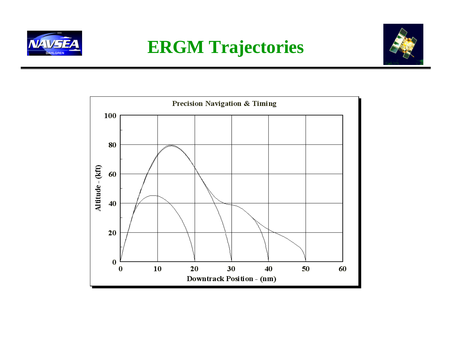

## **ERGM Trajectories**



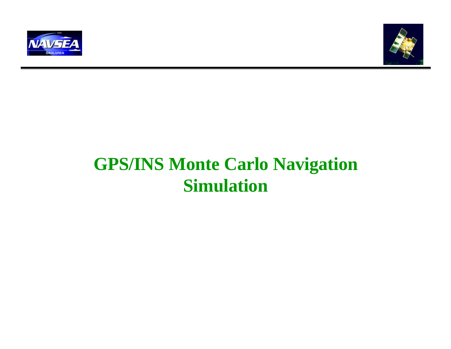



## **GPS/INS Monte Carlo Navigation Simulation**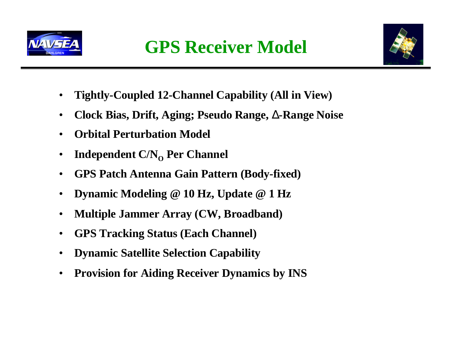



- **Tightly-Coupled 12-Channel Capability (All in View)**
- **Clock Bias, Drift, Aging; Pseudo Range, D-Range Noise**
- **Orbital Perturbation Model**
- **Independent C/N<sub>O</sub>** Per Channel
- **GPS Patch Antenna Gain Pattern (Body-fixed)**
- **Dynamic Modeling @ 10 Hz, Update @ 1 Hz**
- **Multiple Jammer Array (CW, Broadband)**
- **GPS Tracking Status (Each Channel)**
- **Dynamic Satellite Selection Capability**
- **Provision for Aiding Receiver Dynamics by INS**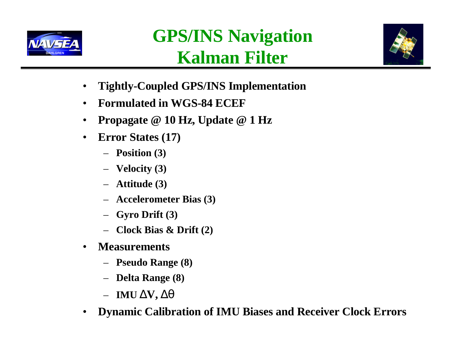

# **GPS/INS Navigation Kalman Filter**



- **Tightly-Coupled GPS/INS Implementation**
- **Formulated in WGS-84 ECEF**
- **Propagate @ 10 Hz, Update @ 1 Hz**
- **Error States (17)**
	- **Position (3)**
	- **Velocity (3)**
	- **Attitude (3)**
	- **Accelerometer Bias (3)**
	- **Gyro Drift (3)**
	- **Clock Bias & Drift (2)**
- **Measurements**
	- **Pseudo Range (8)**
	- **Delta Range (8)**
	- **IMU DV, Dq**
- **Dynamic Calibration of IMU Biases and Receiver Clock Errors**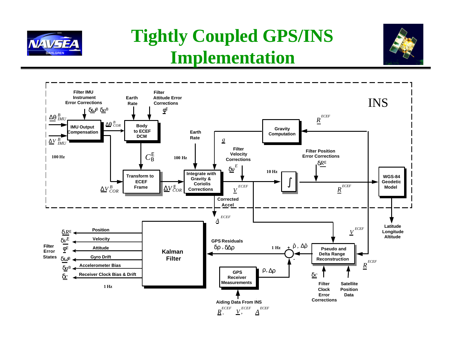

## **Tightly Coupled GPS/INS Implementation**



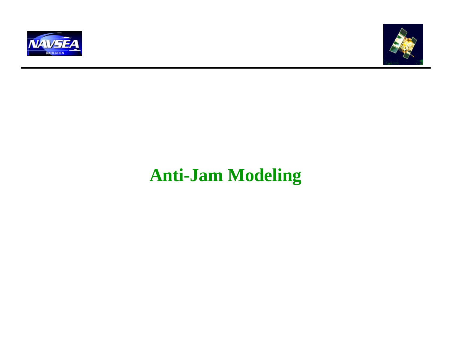



## **Anti-Jam Modeling**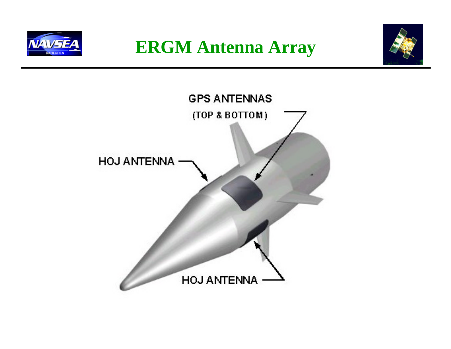

**ERGM Antenna Array**



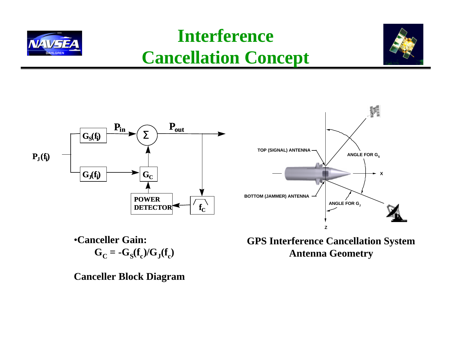## **Interference Cancellation Concept**





•**Canceller Gain:**  $G_C = -G_S(f_c)/G_J(f_c)$ 

**Canceller Block Diagram**

**GPS Interference Cancellation System Antenna Geometry**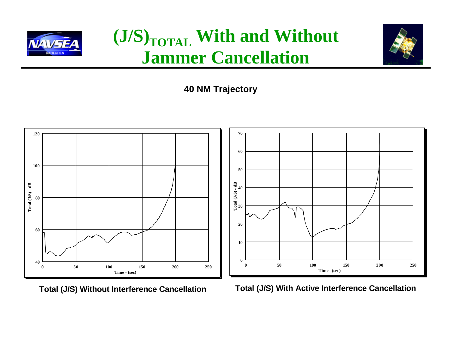

## **(J/S)TOTAL With and Without Jammer Cancellation**



**40 NM Trajectory**



**Total (J/S) Without Interference Cancellation Total (J/S) With Active Interference Cancellation**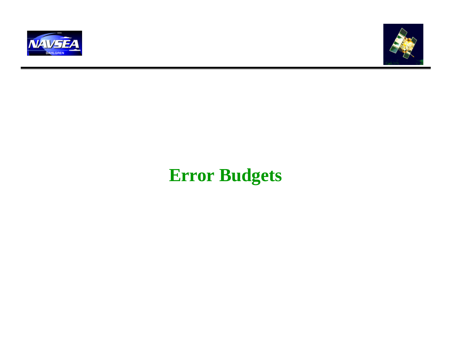



## **Error Budgets**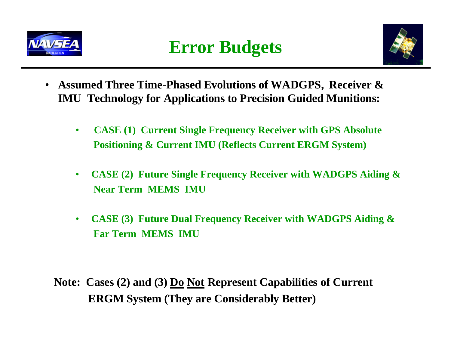



- **Assumed Three Time-Phased Evolutions of WADGPS, Receiver & IMU Technology for Applications to Precision Guided Munitions:**
	- • **CASE (1) Current Single Frequency Receiver with GPS Absolute Positioning & Current IMU (Reflects Current ERGM System)**
	- **CASE (2) Future Single Frequency Receiver with WADGPS Aiding & Near Term MEMS IMU**
	- **CASE (3) Future Dual Frequency Receiver with WADGPS Aiding & Far Term MEMS IMU**

 **Note: Cases (2) and (3) Do Not Represent Capabilities of Current ERGM System (They are Considerably Better)**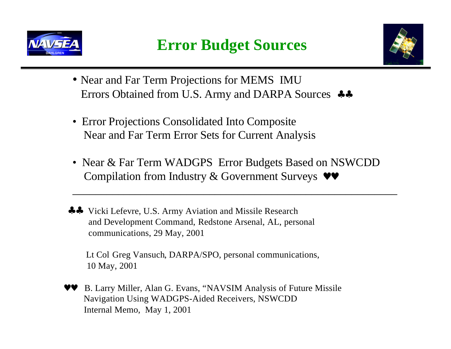



- Near and Far Term Projections for MEMS IMU Errors Obtained from U.S. Army and DARPA Sources ♣♣
- Error Projections Consolidated Into Composite Near and Far Term Error Sets for Current Analysis
- Near & Far Term WADGPS Error Budgets Based on NSWCDD Compilation from Industry & Government Surveys  $\bullet\bullet$

 $\mathcal{L}_\text{max}$  and  $\mathcal{L}_\text{max}$  and  $\mathcal{L}_\text{max}$  and  $\mathcal{L}_\text{max}$  and  $\mathcal{L}_\text{max}$  and  $\mathcal{L}_\text{max}$ 

 ♣♣ Vicki Lefevre, U.S. Army Aviation and Missile Research and Development Command, Redstone Arsenal, AL, personal communications, 29 May, 2001

 Lt Col Greg Vansuch, DARPA/SPO, personal communications, 10 May, 2001

B. Larry Miller, Alan G. Evans, "NAVSIM Analysis of Future Missile Navigation Using WADGPS-Aided Receivers, NSWCDD Internal Memo, May 1, 2001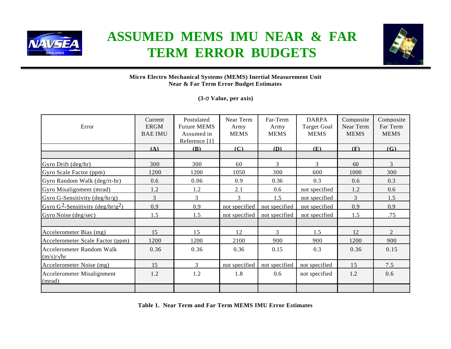

### **ASSUMED MEMS IMU NEAR & FAR TERM ERROR BUDGETS**



#### **Micro Electro Mechanical Systems (MEMS) Inertial Measurement Unit Near & Far Term Error Budget Estimates**

**(3-s Value, per axis)**

| Error                                                     | Current<br><b>ERGM</b><br><b>BAE IMU</b> | Postulated<br><b>Future MEMS</b><br>Assumed in<br>Reference [1] | Near Term<br>Army<br><b>MEMS</b> | Far-Term<br>Army<br><b>MEMS</b> | <b>DARPA</b><br><b>Target Goal</b><br><b>MEMS</b> | Composite<br>Near Term<br><b>MEMS</b> | Composite<br>Far Term<br><b>MEMS</b> |
|-----------------------------------------------------------|------------------------------------------|-----------------------------------------------------------------|----------------------------------|---------------------------------|---------------------------------------------------|---------------------------------------|--------------------------------------|
|                                                           | (A)                                      | <b>(B)</b>                                                      | (C)                              | (D)                             | (E)                                               | (F)                                   | (G)                                  |
|                                                           |                                          |                                                                 |                                  |                                 |                                                   |                                       |                                      |
| Gyro Drift $(\text{deg/hr})$                              | 300                                      | 300                                                             | 60                               | 3                               | 3                                                 | 60                                    | 3                                    |
| Gyro Scale Factor (ppm)                                   | 1200                                     | 1200                                                            | 1050                             | 300                             | 600                                               | 1000                                  | 300                                  |
| Gyro Random Walk (deg/rt-hr)                              | 0.6                                      | 0.06                                                            | 0.9                              | 0.36                            | 0.3                                               | 0.6                                   | 0.3                                  |
| Gyro Misalignment (mrad)                                  | 1.2                                      | 1.2                                                             | 2.1                              | 0.6                             | not specified                                     | 1.2                                   | 0.6                                  |
| Gyro G-Sensitivity $(\text{deg/hr/g})$                    | 3                                        | 3                                                               | 3                                | 1.5                             | not specified                                     | 3                                     | 1.5                                  |
| Gyro G <sup>2</sup> -Sensitivity (deg/hr/g <sup>2</sup> ) | 0.9                                      | 0.9                                                             | not specified                    | not specified                   | not specified                                     | 0.9                                   | 0.9                                  |
| Gyro Noise (deg/sec)                                      | 1.5                                      | 1.5                                                             | not specified                    | not specified                   | not specified                                     | 1.5                                   | .75                                  |
|                                                           |                                          |                                                                 |                                  |                                 |                                                   |                                       |                                      |
| Accelerometer Bias (mg)                                   | 15                                       | 15                                                              | 12                               | $\mathcal{F}$                   | 1.5                                               | 12                                    | $\overline{2}$                       |
| Accelerometer Scale Factor (ppm)                          | 1200                                     | 1200                                                            | 2100                             | 900                             | 900                                               | 1200                                  | 900                                  |
| <b>Accelerometer Random Walk</b><br>$(m/s)/\sqrt{hr}$     | 0.36                                     | 0.36                                                            | 0.36                             | 0.15                            | 0.3                                               | 0.36                                  | 0.15                                 |
| Accelerometer Noise (mg)                                  | 15                                       | 3                                                               | not specified                    | not specified                   | not specified                                     | 15                                    | 7.5                                  |
| Accelerometer Misalignment<br>(mrad)                      | 1.2                                      | 1.2                                                             | 1.8                              | 0.6                             | not specified                                     | 1.2                                   | 0.6                                  |
|                                                           |                                          |                                                                 |                                  |                                 |                                                   |                                       |                                      |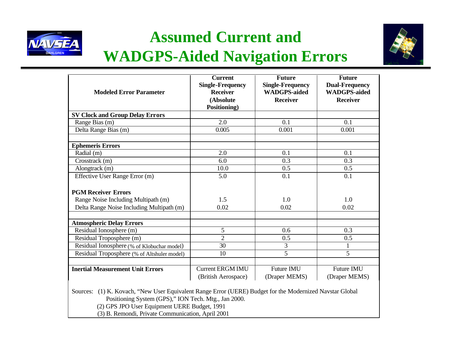

## **Assumed Current and WADGPS-Aided Navigation Errors**



| <b>Modeled Error Parameter</b>              | <b>Current</b><br><b>Single-Frequency</b><br><b>Receiver</b><br>(Absolute | <b>Future</b><br><b>Single-Frequency</b><br><b>WADGPS-aided</b><br><b>Receiver</b> | <b>Future</b><br><b>Dual-Frequency</b><br><b>WADGPS-aided</b><br><b>Receiver</b> |  |
|---------------------------------------------|---------------------------------------------------------------------------|------------------------------------------------------------------------------------|----------------------------------------------------------------------------------|--|
|                                             | Positioning)                                                              |                                                                                    |                                                                                  |  |
| <b>SV Clock and Group Delay Errors</b>      |                                                                           |                                                                                    |                                                                                  |  |
| Range Bias (m)                              | 2.0                                                                       | 0.1                                                                                | 0.1                                                                              |  |
| Delta Range Bias (m)                        | 0.005                                                                     | 0.001                                                                              | 0.001                                                                            |  |
| <b>Ephemeris Errors</b>                     |                                                                           |                                                                                    |                                                                                  |  |
| Radial (m)                                  | 2.0                                                                       | 0.1                                                                                | 0.1                                                                              |  |
| Crosstrack (m)                              | 6.0                                                                       | 0.3                                                                                | 0.3                                                                              |  |
| Alongtrack (m)                              | 10.0                                                                      | 0.5                                                                                | 0.5                                                                              |  |
| Effective User Range Error (m)              | 5.0                                                                       | 0.1                                                                                | 0.1                                                                              |  |
| <b>PGM Receiver Errors</b>                  |                                                                           |                                                                                    |                                                                                  |  |
| Range Noise Including Multipath (m)         | 1.5                                                                       | 1.0                                                                                | 1.0                                                                              |  |
| Delta Range Noise Including Multipath (m)   | 0.02                                                                      | 0.02                                                                               | 0.02                                                                             |  |
| <b>Atmospheric Delay Errors</b>             |                                                                           |                                                                                    |                                                                                  |  |
| Residual Ionosphere (m)                     | 5                                                                         | 0.6                                                                                | 0.3                                                                              |  |
| Residual Troposphere (m)                    | $\overline{2}$                                                            | 0.5                                                                                | 0.5                                                                              |  |
| Residual Ionosphere (% of Klobuchar model)  | 30                                                                        | 3                                                                                  |                                                                                  |  |
| Residual Troposphere (% of Altshuler model) | 10                                                                        | $\overline{5}$                                                                     | 5                                                                                |  |
|                                             |                                                                           |                                                                                    |                                                                                  |  |
| <b>Inertial Measurement Unit Errors</b>     | <b>Current ERGM IMU</b><br>(British Aerospace)                            | Future IMU<br>(Draper MEMS)                                                        | Future IMU<br>(Draper MEMS)                                                      |  |

Sources: (1) K. Kovach, "New User Equivalent Range Error (UERE) Budget for the Modernized Navstar Global Positioning System (GPS)," ION Tech. Mtg., Jan 2000.

(2) GPS JPO User Equipment UERE Budget, 1991

(3) B. Remondi, Private Communication, April 2001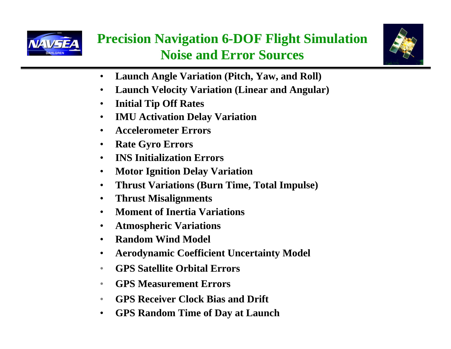

### **Precision Navigation 6-DOF Flight Simulation Noise and Error Sources**



- **Launch Angle Variation (Pitch, Yaw, and Roll)**
- **Launch Velocity Variation (Linear and Angular)**
- **Initial Tip Off Rates**
- **IMU Activation Delay Variation**
- **Accelerometer Errors**
- **Rate Gyro Errors**
- **INS Initialization Errors**
- **Motor Ignition Delay Variation**
- **Thrust Variations (Burn Time, Total Impulse)**
- **Thrust Misalignments**
- **Moment of Inertia Variations**
- **Atmospheric Variations**
- **Random Wind Model**
- **Aerodynamic Coefficient Uncertainty Model**
- **GPS Satellite Orbital Errors**
- **GPS Measurement Errors**
- **GPS Receiver Clock Bias and Drift**
- **GPS Random Time of Day at Launch**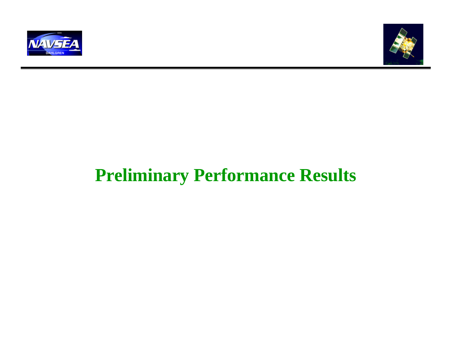



## **Preliminary Performance Results**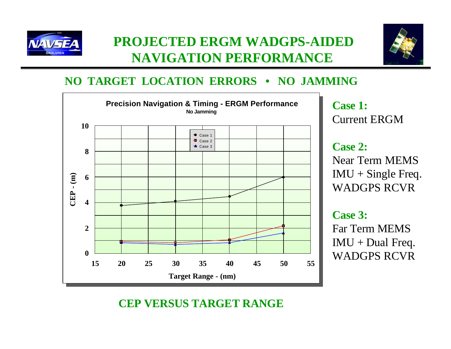



### **NO TARGET LOCATION ERRORS • NO JAMMING**



 **CEP VERSUS TARGET RANGE**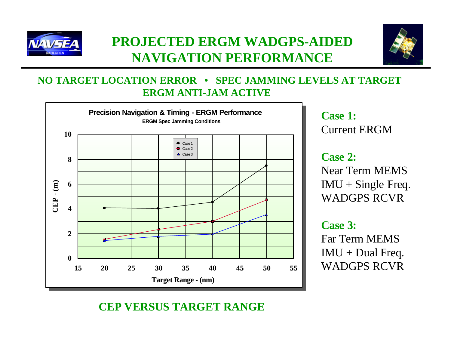



#### **NO TARGET LOCATION ERROR • SPEC JAMMING LEVELS AT TARGET ERGM ANTI-JAM ACTIVE**



Current ERGM

#### **Case 2:** Near Term MEMS  $IMU + SingleFreq.$ WADGPS RCVR

#### **Case 3:**

Far Term MEMS  $IMU + Dual$  Freq. WADGPS RCVR

### **CEP VERSUS TARGET RANGE**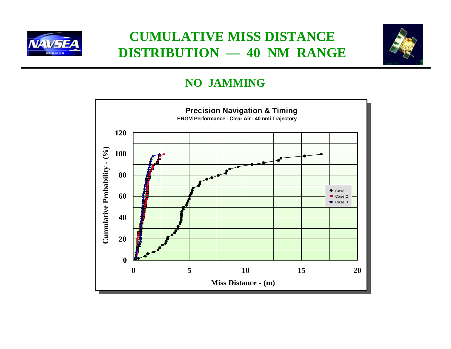

### **CUMULATIVE MISS DISTANCE DISTRIBUTION — 40 NM RANGE**



#### **NO JAMMING**

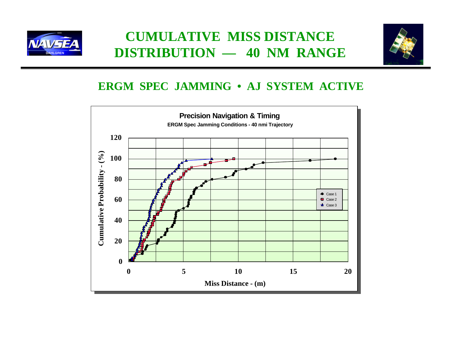

### **CUMULATIVE MISS DISTANCE DISTRIBUTION — 40 NM RANGE**



#### **ERGM SPEC JAMMING • AJ SYSTEM ACTIVE**